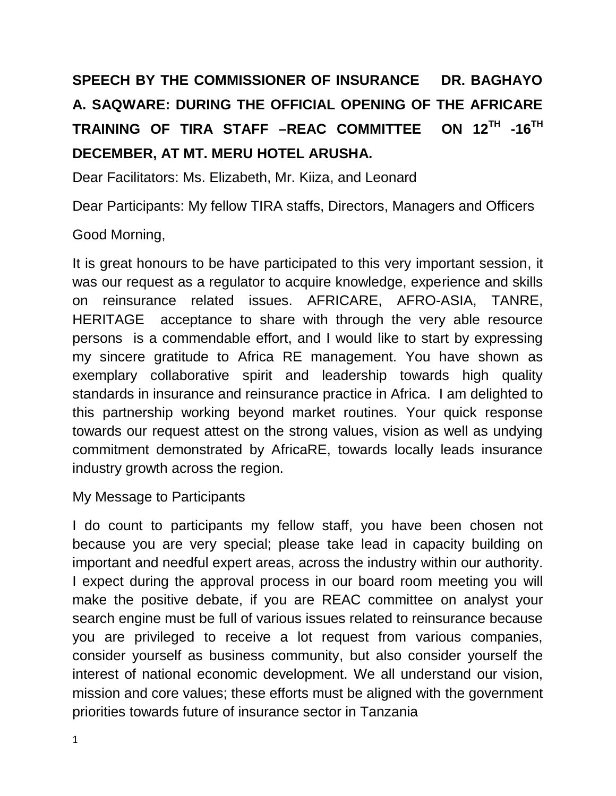## **SPEECH BY THE COMMISSIONER OF INSURANCE DR. BAGHAYO A. SAQWARE: DURING THE OFFICIAL OPENING OF THE AFRICARE TRAINING OF TIRA STAFF -REAC COMMITTEE** ON  $12^{TH}$  -16<sup>TH</sup> **DECEMBER, AT MT. MERU HOTEL ARUSHA.**

Dear Facilitators: Ms. Elizabeth, Mr. Kiiza, and Leonard

Dear Participants: My fellow TIRA staffs, Directors, Managers and Officers

## Good Morning,

It is great honours to be have participated to this very important session, it was our request as a regulator to acquire knowledge, experience and skills on reinsurance related issues. AFRICARE, AFRO-ASIA, TANRE, HERITAGE acceptance to share with through the very able resource persons is a commendable effort, and I would like to start by expressing my sincere gratitude to Africa RE management. You have shown as exemplary collaborative spirit and leadership towards high quality standards in insurance and reinsurance practice in Africa. I am delighted to this partnership working beyond market routines. Your quick response towards our request attest on the strong values, vision as well as undying commitment demonstrated by AfricaRE, towards locally leads insurance industry growth across the region.

## My Message to Participants

I do count to participants my fellow staff, you have been chosen not because you are very special; please take lead in capacity building on important and needful expert areas, across the industry within our authority. I expect during the approval process in our board room meeting you will make the positive debate, if you are REAC committee on analyst your search engine must be full of various issues related to reinsurance because you are privileged to receive a lot request from various companies, consider yourself as business community, but also consider yourself the interest of national economic development. We all understand our vision, mission and core values; these efforts must be aligned with the government priorities towards future of insurance sector in Tanzania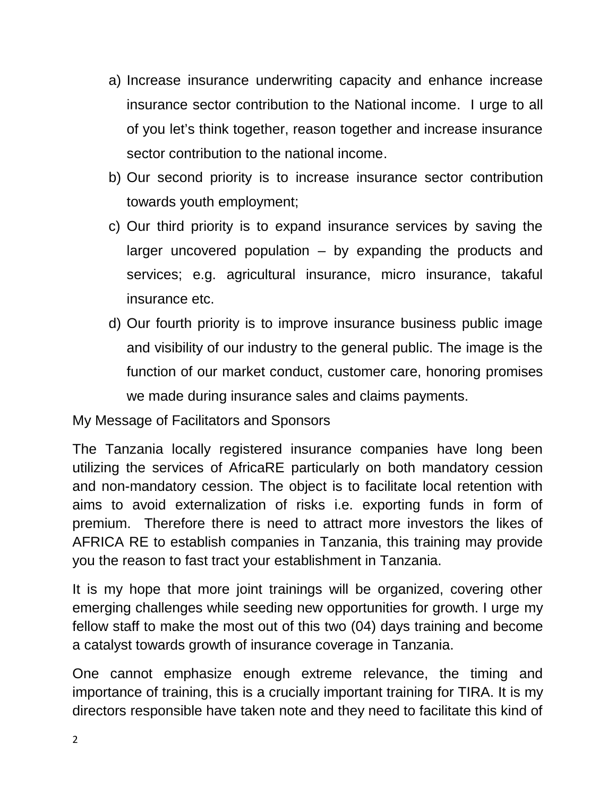- a) Increase insurance underwriting capacity and enhance increase insurance sector contribution to the National income. I urge to all of you let's think together, reason together and increase insurance sector contribution to the national income.
- b) Our second priority is to increase insurance sector contribution towards youth employment;
- c) Our third priority is to expand insurance services by saving the larger uncovered population – by expanding the products and services; e.g. agricultural insurance, micro insurance, takaful insurance etc.
- d) Our fourth priority is to improve insurance business public image and visibility of our industry to the general public. The image is the function of our market conduct, customer care, honoring promises we made during insurance sales and claims payments.

My Message of Facilitators and Sponsors

The Tanzania locally registered insurance companies have long been utilizing the services of AfricaRE particularly on both mandatory cession and non-mandatory cession. The object is to facilitate local retention with aims to avoid externalization of risks i.e. exporting funds in form of premium. Therefore there is need to attract more investors the likes of AFRICA RE to establish companies in Tanzania, this training may provide you the reason to fast tract your establishment in Tanzania.

It is my hope that more joint trainings will be organized, covering other emerging challenges while seeding new opportunities for growth. I urge my fellow staff to make the most out of this two (04) days training and become a catalyst towards growth of insurance coverage in Tanzania.

One cannot emphasize enough extreme relevance, the timing and importance of training, this is a crucially important training for TIRA. It is my directors responsible have taken note and they need to facilitate this kind of